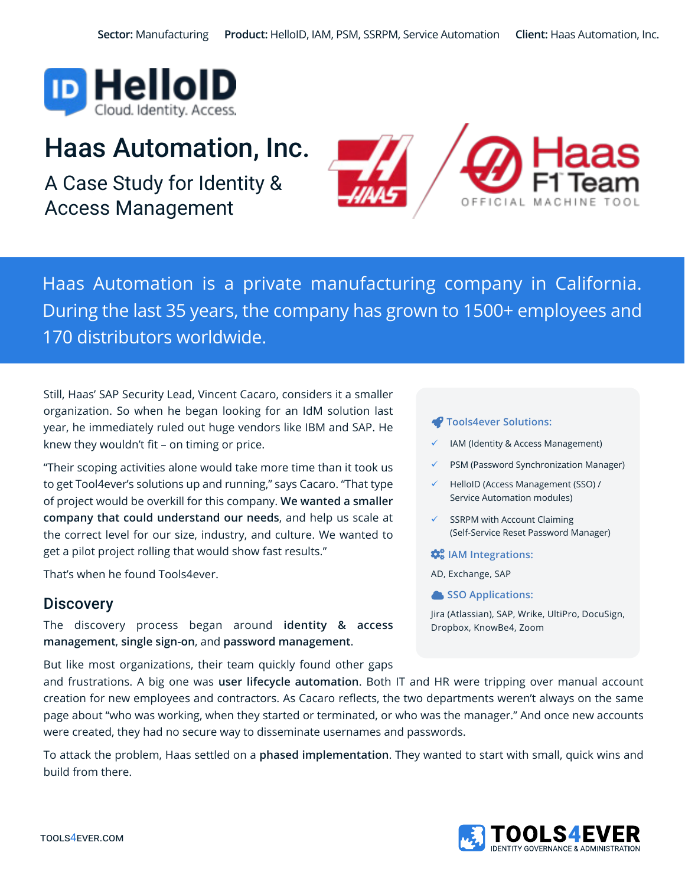

# Haas Automation, Inc.

A Case Study for Identity & Access Management



Haas Automation is a private manufacturing company in California. During the last 35 years, the company has grown to 1500+ employees and 170 distributors worldwide.

Still, Haas' SAP Security Lead, Vincent Cacaro, considers it a smaller organization. So when he began looking for an IdM solution last year, he immediately ruled out huge vendors like IBM and SAP. He knew they wouldn't fit – on timing or price.

"Their scoping activities alone would take more time than it took us to get Tool4ever's solutions up and running," says Cacaro. "That type of project would be overkill for this company. **We wanted a smaller company that could understand our needs**, and help us scale at the correct level for our size, industry, and culture. We wanted to get a pilot project rolling that would show fast results."

That's when he found Tools4ever.

#### **Discovery**

The discovery process began around **identity & access management**, **single sign-on**, and **password management**.

But like most organizations, their team quickly found other gaps

#### **Tools4ever Solutions:**

- IAM (Identity & Access Management)
- 9 PSM (Password Synchronization Manager)
- HelloID (Access Management (SSO) / Service Automation modules)
- SSRPM with Account Claiming (Self-Service Reset Password Manager)

**IAM Integrations:** 

- AD, Exchange, SAP
- **SSO Applications:**

Jira (Atlassian), SAP, Wrike, UltiPro, DocuSign, Dropbox, KnowBe4, Zoom

and frustrations. A big one was **user lifecycle automation**. Both IT and HR were tripping over manual account creation for new employees and contractors. As Cacaro reflects, the two departments weren't always on the same page about "who was working, when they started or terminated, or who was the manager." And once new accounts were created, they had no secure way to disseminate usernames and passwords.

To attack the problem, Haas settled on a **phased implementation**. They wanted to start with small, quick wins and build from there.

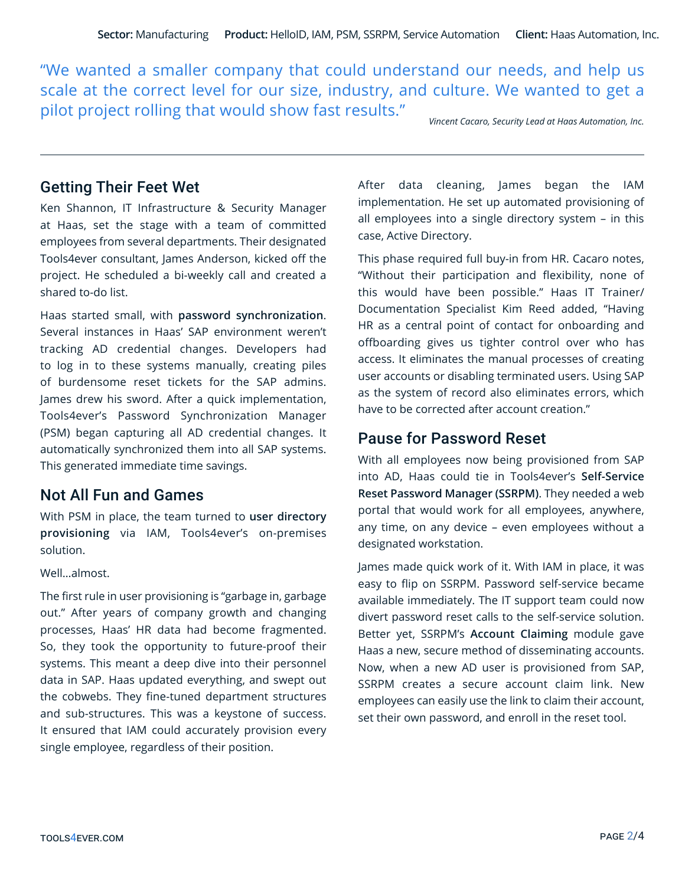"We wanted a smaller company that could understand our needs, and help us scale at the correct level for our size, industry, and culture. We wanted to get a pilot project rolling that would show fast results."

*Vincent Cacaro, Security Lead at Haas Automation, Inc.*

### Getting Their Feet Wet

Ken Shannon, IT Infrastructure & Security Manager at Haas, set the stage with a team of committed employees from several departments. Their designated Tools4ever consultant, James Anderson, kicked off the project. He scheduled a bi-weekly call and created a shared to-do list.

Haas started small, with **password synchronization**. Several instances in Haas' SAP environment weren't tracking AD credential changes. Developers had to log in to these systems manually, creating piles of burdensome reset tickets for the SAP admins. James drew his sword. After a quick implementation, Tools4ever's Password Synchronization Manager (PSM) began capturing all AD credential changes. It automatically synchronized them into all SAP systems. This generated immediate time savings.

#### Not All Fun and Games

With PSM in place, the team turned to **user directory provisioning** via IAM, Tools4ever's on-premises solution.

Well…almost.

The first rule in user provisioning is "garbage in, garbage out." After years of company growth and changing processes, Haas' HR data had become fragmented. So, they took the opportunity to future-proof their systems. This meant a deep dive into their personnel data in SAP. Haas updated everything, and swept out the cobwebs. They fine-tuned department structures and sub-structures. This was a keystone of success. It ensured that IAM could accurately provision every single employee, regardless of their position.

After data cleaning, James began the IAM implementation. He set up automated provisioning of all employees into a single directory system – in this case, Active Directory.

This phase required full buy-in from HR. Cacaro notes, "Without their participation and flexibility, none of this would have been possible." Haas IT Trainer/ Documentation Specialist Kim Reed added, "Having HR as a central point of contact for onboarding and offboarding gives us tighter control over who has access. It eliminates the manual processes of creating user accounts or disabling terminated users. Using SAP as the system of record also eliminates errors, which have to be corrected after account creation."

# Pause for Password Reset

With all employees now being provisioned from SAP into AD, Haas could tie in Tools4ever's **Self-Service Reset Password Manager (SSRPM)**. They needed a web portal that would work for all employees, anywhere, any time, on any device – even employees without a designated workstation.

James made quick work of it. With IAM in place, it was easy to flip on SSRPM. Password self-service became available immediately. The IT support team could now divert password reset calls to the self-service solution. Better yet, SSRPM's **Account Claiming** module gave Haas a new, secure method of disseminating accounts. Now, when a new AD user is provisioned from SAP, SSRPM creates a secure account claim link. New employees can easily use the link to claim their account, set their own password, and enroll in the reset tool.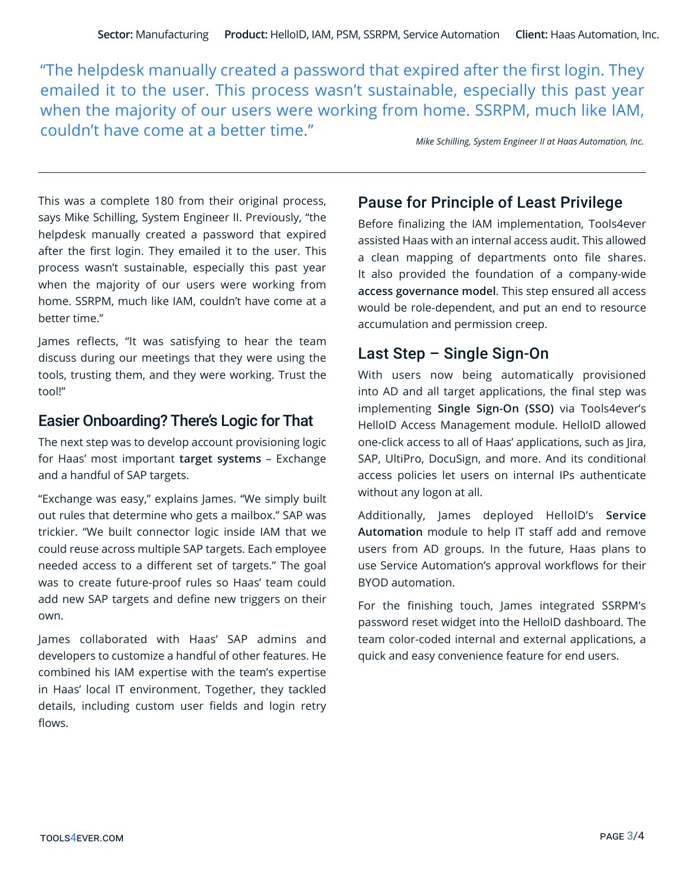"The helpdesk manually created a password that expired after the first login. They emailed it to the user. This process wasn't sustainable, especially this past year when the majority of our users were working from home. SSRPM, much like IAM, couldn't have come at a better time."

*Mike Schilling, System Engineer II at Haas Automation, Inc.*

This was a complete 180 from their original process, says Mike Schilling, System Engineer II. Previously, "the helpdesk manually created a password that expired after the first login. They emailed it to the user. This process wasn't sustainable, especially this past year when the majority of our users were working from home. SSRPM, much like IAM, couldn't have come at a better time."

James reflects, "It was satisfying to hear the team discuss during our meetings that they were using the tools, trusting them, and they were working. Trust the tool!"

#### Easier Onboarding? There's Logic for That

The next step was to develop account provisioning logic for Haas' most important **target systems** – Exchange and a handful of SAP targets.

"Exchange was easy," explains James. "We simply built out rules that determine who gets a mailbox." SAP was trickier. "We built connector logic inside IAM that we could reuse across multiple SAP targets. Each employee needed access to a different set of targets." The goal was to create future-proof rules so Haas' team could add new SAP targets and define new triggers on their own.

James collaborated with Haas' SAP admins and developers to customize a handful of other features. He combined his IAM expertise with the team's expertise in Haas' local IT environment. Together, they tackled details, including custom user fields and login retry flows.

### Pause for Principle of Least Privilege

Before finalizing the IAM implementation, Tools4ever assisted Haas with an internal access audit. This allowed a clean mapping of departments onto file shares. It also provided the foundation of a company-wide **access governance model**. This step ensured all access would be role-dependent, and put an end to resource accumulation and permission creep.

# Last Step – Single Sign-On

With users now being automatically provisioned into AD and all target applications, the final step was implementing **Single Sign-On (SSO)** via Tools4ever's HelloID Access Management module. HelloID allowed one-click access to all of Haas' applications, such as Jira, SAP, UltiPro, DocuSign, and more. And its conditional access policies let users on internal IPs authenticate without any logon at all.

Additionally, James deployed HelloID's **Service Automation** module to help IT staff add and remove users from AD groups. In the future, Haas plans to use Service Automation's approval workflows for their BYOD automation.

For the finishing touch, James integrated SSRPM's password reset widget into the HelloID dashboard. The team color-coded internal and external applications, a quick and easy convenience feature for end users.